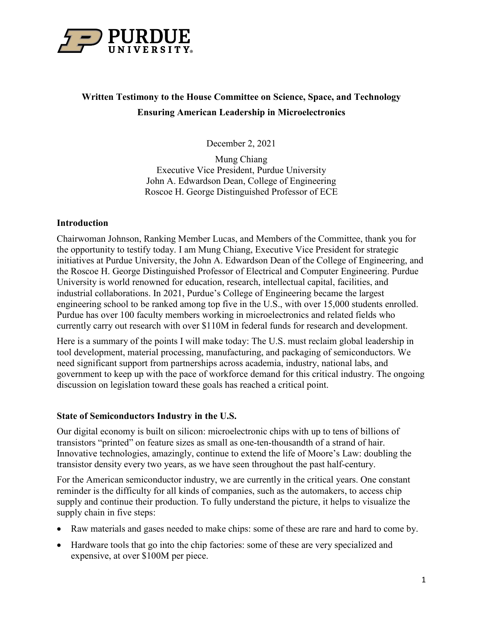

# **Written Testimony to the House Committee on Science, Space, and Technology Ensuring American Leadership in Microelectronics**

December 2, 2021

Mung Chiang Executive Vice President, Purdue University John A. Edwardson Dean, College of Engineering Roscoe H. George Distinguished Professor of ECE

### **Introduction**

Chairwoman Johnson, Ranking Member Lucas, and Members of the Committee, thank you for the opportunity to testify today. I am Mung Chiang, Executive Vice President for strategic initiatives at Purdue University, the John A. Edwardson Dean of the College of Engineering, and the Roscoe H. George Distinguished Professor of Electrical and Computer Engineering. Purdue University is world renowned for education, research, intellectual capital, facilities, and industrial collaborations. In 2021, Purdue's College of Engineering became the largest engineering school to be ranked among top five in the U.S., with over 15,000 students enrolled. Purdue has over 100 faculty members working in microelectronics and related fields who currently carry out research with over \$110M in federal funds for research and development.

Here is a summary of the points I will make today: The U.S. must reclaim global leadership in tool development, material processing, manufacturing, and packaging of semiconductors. We need significant support from partnerships across academia, industry, national labs, and government to keep up with the pace of workforce demand for this critical industry. The ongoing discussion on legislation toward these goals has reached a critical point.

### **State of Semiconductors Industry in the U.S.**

Our digital economy is built on silicon: microelectronic chips with up to tens of billions of transistors "printed" on feature sizes as small as one-ten-thousandth of a strand of hair. Innovative technologies, amazingly, continue to extend the life of Moore's Law: doubling the transistor density every two years, as we have seen throughout the past half-century.

For the American semiconductor industry, we are currently in the critical years. One constant reminder is the difficulty for all kinds of companies, such as the automakers, to access chip supply and continue their production. To fully understand the picture, it helps to visualize the supply chain in five steps:

- Raw materials and gases needed to make chips: some of these are rare and hard to come by.
- Hardware tools that go into the chip factories: some of these are very specialized and expensive, at over \$100M per piece.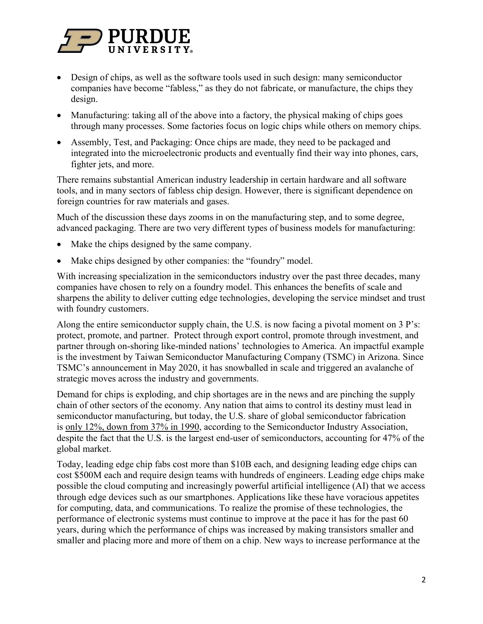

- Design of chips, as well as the software tools used in such design: many semiconductor companies have become "fabless," as they do not fabricate, or manufacture, the chips they design.
- Manufacturing: taking all of the above into a factory, the physical making of chips goes through many processes. Some factories focus on logic chips while others on memory chips.
- Assembly, Test, and Packaging: Once chips are made, they need to be packaged and integrated into the microelectronic products and eventually find their way into phones, cars, fighter jets, and more.

There remains substantial American industry leadership in certain hardware and all software tools, and in many sectors of fabless chip design. However, there is significant dependence on foreign countries for raw materials and gases.

Much of the discussion these days zooms in on the manufacturing step, and to some degree, advanced packaging. There are two very different types of business models for manufacturing:

- Make the chips designed by the same company.
- Make chips designed by other companies: the "foundry" model.

With increasing specialization in the semiconductors industry over the past three decades, many companies have chosen to rely on a foundry model. This enhances the benefits of scale and sharpens the ability to deliver cutting edge technologies, developing the service mindset and trust with foundry customers.

Along the entire semiconductor supply chain, the U.S. is now facing a pivotal moment on 3 P's: protect, promote, and partner. Protect through export control, promote through investment, and partner through on-shoring like-minded nations' technologies to America. An impactful example is the investment by Taiwan Semiconductor Manufacturing Company (TSMC) in Arizona. Since TSMC's announcement in May 2020, it has snowballed in scale and triggered an avalanche of strategic moves across the industry and governments.

Demand for chips is exploding, and chip shortages are in the news and are pinching the supply chain of other sectors of the economy. Any nation that aims to control its destiny must lead in semiconductor manufacturing, but today, the U.S. share of global semiconductor fabrication is [only 12%, down from 37% in 1990,](https://www.semiconductors.org/turning-the-tide-for-semiconductor-manufacturing-in-the-u-s/) according to the Semiconductor Industry Association, despite the fact that the U.S. is the largest end-user of semiconductors, accounting for 47% of the global market.

Today, leading edge chip fabs cost more than \$10B each, and designing leading edge chips can cost \$500M each and require design teams with hundreds of engineers. Leading edge chips make possible the cloud computing and increasingly powerful artificial intelligence (AI) that we access through edge devices such as our smartphones. Applications like these have voracious appetites for computing, data, and communications. To realize the promise of these technologies, the performance of electronic systems must continue to improve at the pace it has for the past 60 years, during which the performance of chips was increased by making transistors smaller and smaller and placing more and more of them on a chip. New ways to increase performance at the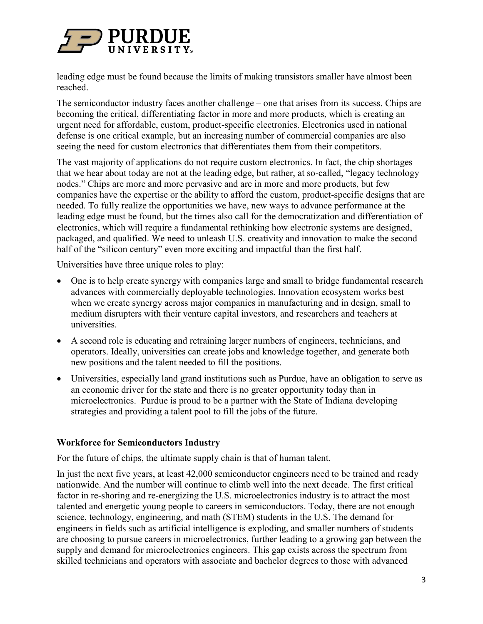

leading edge must be found because the limits of making transistors smaller have almost been reached.

The semiconductor industry faces another challenge – one that arises from its success. Chips are becoming the critical, differentiating factor in more and more products, which is creating an urgent need for affordable, custom, product-specific electronics. Electronics used in national defense is one critical example, but an increasing number of commercial companies are also seeing the need for custom electronics that differentiates them from their competitors.

The vast majority of applications do not require custom electronics. In fact, the chip shortages that we hear about today are not at the leading edge, but rather, at so-called, "legacy technology nodes." Chips are more and more pervasive and are in more and more products, but few companies have the expertise or the ability to afford the custom, product-specific designs that are needed. To fully realize the opportunities we have, new ways to advance performance at the leading edge must be found, but the times also call for the democratization and differentiation of electronics, which will require a fundamental rethinking how electronic systems are designed, packaged, and qualified. We need to unleash U.S. creativity and innovation to make the second half of the "silicon century" even more exciting and impactful than the first half.

Universities have three unique roles to play:

- One is to help create synergy with companies large and small to bridge fundamental research advances with commercially deployable technologies. Innovation ecosystem works best when we create synergy across major companies in manufacturing and in design, small to medium disrupters with their venture capital investors, and researchers and teachers at universities.
- A second role is educating and retraining larger numbers of engineers, technicians, and operators. Ideally, universities can create jobs and knowledge together, and generate both new positions and the talent needed to fill the positions.
- Universities, especially land grand institutions such as Purdue, have an obligation to serve as an economic driver for the state and there is no greater opportunity today than in microelectronics. Purdue is proud to be a partner with the State of Indiana developing strategies and providing a talent pool to fill the jobs of the future.

### **Workforce for Semiconductors Industry**

For the future of chips, the ultimate supply chain is that of human talent.

In just the next five years, at least 42,000 semiconductor engineers need to be trained and ready nationwide. And the number will continue to climb well into the next decade. The first critical factor in re-shoring and re-energizing the U.S. microelectronics industry is to attract the most talented and energetic young people to careers in semiconductors. Today, there are not enough science, technology, engineering, and math (STEM) students in the U.S. The demand for engineers in fields such as artificial intelligence is exploding, and smaller numbers of students are choosing to pursue careers in microelectronics, further leading to a growing gap between the supply and demand for microelectronics engineers. This gap exists across the spectrum from skilled technicians and operators with associate and bachelor degrees to those with advanced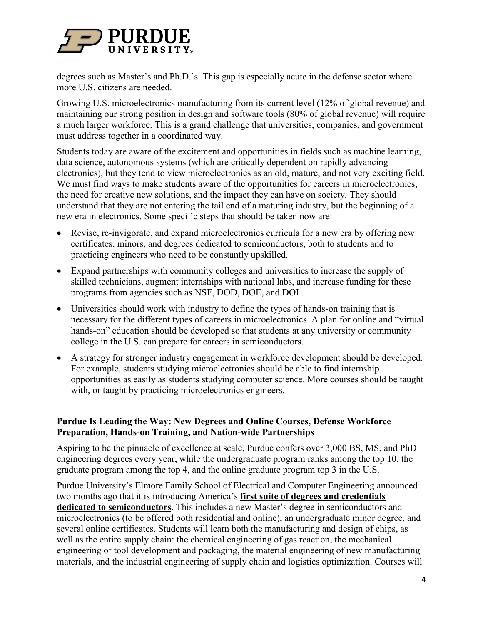

degrees such as Master's and Ph.D.'s. This gap is especially acute in the defense sector where more U.S. citizens are needed.

Growing U.S. microelectronics manufacturing from its current level (12% of global revenue) and maintaining our strong position in design and software tools (80% of global revenue) will require a much larger workforce. This is a grand challenge that universities, companies, and government must address together in a coordinated way.

Students today are aware of the excitement and opportunities in fields such as machine learning, data science, autonomous systems (which are critically dependent on rapidly advancing electronics), but they tend to view microelectronics as an old, mature, and not very exciting field. We must find ways to make students aware of the opportunities for careers in microelectronics, the need for creative new solutions, and the impact they can have on society. They should understand that they are not entering the tail end of a maturing industry, but the beginning of a new era in electronics. Some specific steps that should be taken now are:

- Revise, re-invigorate, and expand microelectronics curricula for a new era by offering new certificates, minors, and degrees dedicated to semiconductors, both to students and to practicing engineers who need to be constantly upskilled.
- Expand partnerships with community colleges and universities to increase the supply of skilled technicians, augment internships with national labs, and increase funding for these programs from agencies such as NSF, DOD, DOE, and DOL.
- Universities should work with industry to define the types of hands-on training that is necessary for the different types of careers in microelectronics. A plan for online and "virtual hands-on" education should be developed so that students at any university or community college in the U.S. can prepare for careers in semiconductors.
- A strategy for stronger industry engagement in workforce development should be developed. For example, students studying microelectronics should be able to find internship opportunities as easily as students studying computer science. More courses should be taught with, or taught by practicing microelectronics engineers.

# **Purdue Is Leading the Way: New Degrees and Online Courses, Defense Workforce Preparation, Hands-on Training, and Nation-wide Partnerships**

Aspiring to be the pinnacle of excellence at scale, Purdue confers over 3,000 BS, MS, and PhD engineering degrees every year, while the undergraduate program ranks among the top 10, the graduate program among the top 4, and the online graduate program top 3 in the U.S.

Purdue University's Elmore Family School of Electrical and Computer Engineering announced two months ago that it is introducing America's **first suite of degrees and credentials dedicated to semiconductors**. This includes a new Master's degree in semiconductors and microelectronics (to be offered both residential and online), an undergraduate minor degree, and several online certificates. Students will learn both the manufacturing and design of chips, as well as the entire supply chain: the chemical engineering of gas reaction, the mechanical engineering of tool development and packaging, the material engineering of new manufacturing materials, and the industrial engineering of supply chain and logistics optimization. Courses will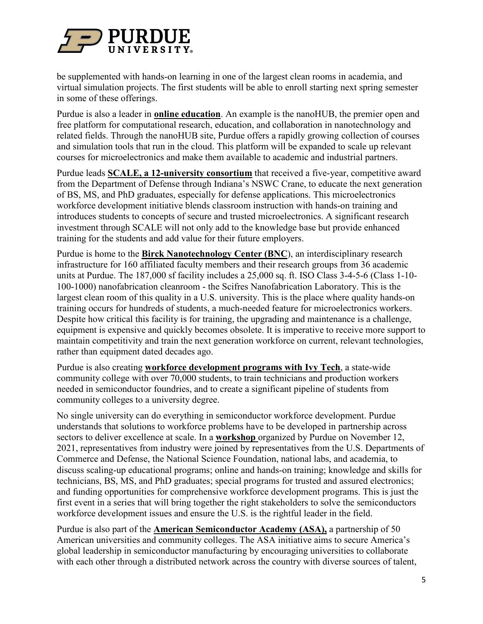

be supplemented with hands-on learning in one of the largest clean rooms in academia, and virtual simulation projects. The first students will be able to enroll starting next spring semester in some of these offerings.

Purdue is also a leader in **online education**. An example is the nanoHUB, the premier open and free platform for computational research, education, and collaboration in nanotechnology and related fields. Through the nanoHUB site, Purdue offers a rapidly growing collection of courses and simulation tools that run in the cloud. This platform will be expanded to scale up relevant courses for microelectronics and make them available to academic and industrial partners.

Purdue leads **SCALE, a 12-university consortium** that received a five-year, competitive award from the Department of Defense through Indiana's NSWC Crane, to educate the next generation of BS, MS, and PhD graduates, especially for defense applications. This microelectronics workforce development initiative blends classroom instruction with hands-on training and introduces students to concepts of secure and trusted microelectronics. A significant research investment through SCALE will not only add to the knowledge base but provide enhanced training for the students and add value for their future employers.

Purdue is home to the **Birck Nanotechnology Center (BNC**), an interdisciplinary research infrastructure for 160 affiliated faculty members and their research groups from 36 academic units at Purdue. The 187,000 sf facility includes a 25,000 sq. ft. ISO Class 3-4-5-6 (Class 1-10- 100-1000) nanofabrication cleanroom - the Scifres Nanofabrication Laboratory. This is the largest clean room of this quality in a U.S. university. This is the place where quality hands-on training occurs for hundreds of students, a much-needed feature for microelectronics workers. Despite how critical this facility is for training, the upgrading and maintenance is a challenge, equipment is expensive and quickly becomes obsolete. It is imperative to receive more support to maintain competitivity and train the next generation workforce on current, relevant technologies, rather than equipment dated decades ago.

Purdue is also creating **workforce development programs with Ivy Tech**, a state-wide community college with over 70,000 students, to train technicians and production workers needed in semiconductor foundries, and to create a significant pipeline of students from community colleges to a university degree.

No single university can do everything in semiconductor workforce development. Purdue understands that solutions to workforce problems have to be developed in partnership across sectors to deliver excellence at scale. In a **workshop** organized by Purdue on November 12, 2021, representatives from industry were joined by representatives from the U.S. Departments of Commerce and Defense, the National Science Foundation, national labs, and academia, to discuss scaling-up educational programs; online and hands-on training; knowledge and skills for technicians, BS, MS, and PhD graduates; special programs for trusted and assured electronics; and funding opportunities for comprehensive workforce development programs. This is just the first event in a series that will bring together the right stakeholders to solve the semiconductors workforce development issues and ensure the U.S. is the rightful leader in the field.

Purdue is also part of the **American Semiconductor Academy (ASA),** a partnership of 50 American universities and community colleges. The ASA initiative aims to secure America's global leadership in semiconductor manufacturing by encouraging universities to collaborate with each other through a distributed network across the country with diverse sources of talent,